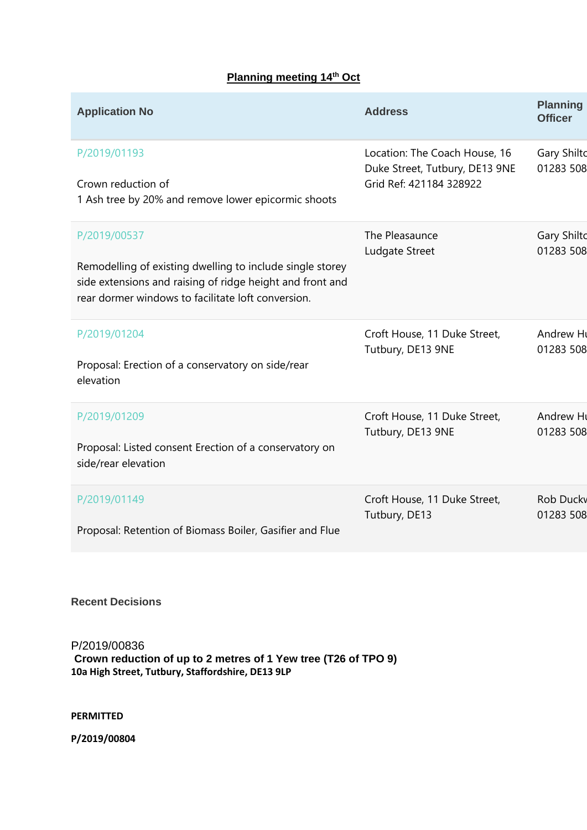# **Planning meeting 14th Oct**

| <b>Application No</b>                                                                                                                                                                        | <b>Address</b>                                                                             | <b>Planning</b><br><b>Officer</b> |
|----------------------------------------------------------------------------------------------------------------------------------------------------------------------------------------------|--------------------------------------------------------------------------------------------|-----------------------------------|
| P/2019/01193<br>Crown reduction of<br>1 Ash tree by 20% and remove lower epicormic shoots                                                                                                    | Location: The Coach House, 16<br>Duke Street, Tutbury, DE13 9NE<br>Grid Ref: 421184 328922 | <b>Gary Shilto</b><br>01283 508   |
| P/2019/00537<br>Remodelling of existing dwelling to include single storey<br>side extensions and raising of ridge height and front and<br>rear dormer windows to facilitate loft conversion. | The Pleasaunce<br>Ludgate Street                                                           | <b>Gary Shilto</b><br>01283 508   |
| P/2019/01204<br>Proposal: Erection of a conservatory on side/rear<br>elevation                                                                                                               | Croft House, 11 Duke Street,<br>Tutbury, DE13 9NE                                          | Andrew Hu<br>01283 508            |
| P/2019/01209<br>Proposal: Listed consent Erection of a conservatory on<br>side/rear elevation                                                                                                | Croft House, 11 Duke Street,<br>Tutbury, DE13 9NE                                          | Andrew Hu<br>01283 508            |
| P/2019/01149<br>Proposal: Retention of Biomass Boiler, Gasifier and Flue                                                                                                                     | Croft House, 11 Duke Street,<br>Tutbury, DE13                                              | <b>Rob Ducky</b><br>01283 508     |

# **Recent Decisions**

P/2019/00836 **Crown reduction of up to 2 metres of 1 Yew tree (T26 of TPO 9) 10a High Street, Tutbury, Staffordshire, DE13 9LP**

#### **PERMITTED**

**P/2019/00804**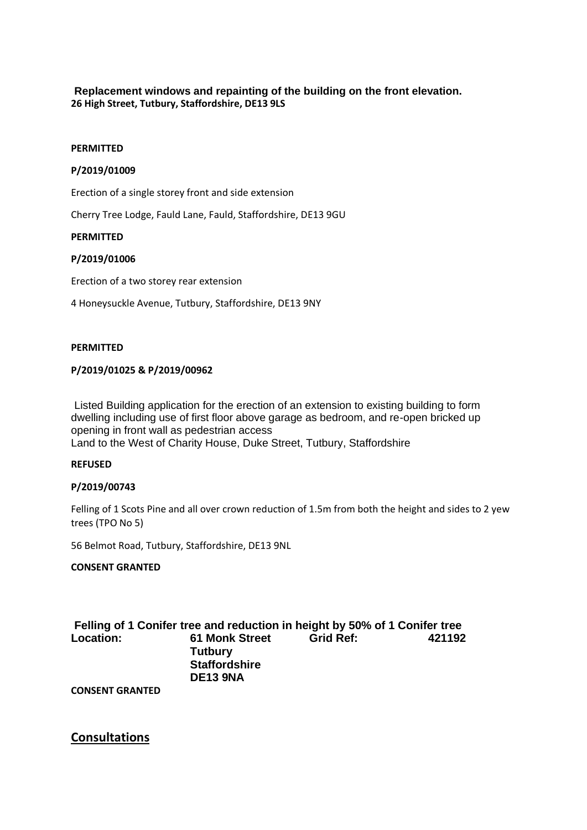# **Replacement windows and repainting of the building on the front elevation. 26 High Street, Tutbury, Staffordshire, DE13 9LS**

#### **PERMITTED**

#### **P/2019/01009**

Erection of a single storey front and side extension

Cherry Tree Lodge, Fauld Lane, Fauld, Staffordshire, DE13 9GU

#### **PERMITTED**

#### **P/2019/01006**

Erection of a two storey rear extension

4 Honeysuckle Avenue, Tutbury, Staffordshire, DE13 9NY

#### **PERMITTED**

#### **P/2019/01025 & P/2019/00962**

Listed Building application for the erection of an extension to existing building to form dwelling including use of first floor above garage as bedroom, and re-open bricked up opening in front wall as pedestrian access

Land to the West of Charity House, Duke Street, Tutbury, Staffordshire

#### **REFUSED**

#### **P/2019/00743**

Felling of 1 Scots Pine and all over crown reduction of 1.5m from both the height and sides to 2 yew trees (TPO No 5)

56 Belmot Road, Tutbury, Staffordshire, DE13 9NL

### **CONSENT GRANTED**

**Felling of 1 Conifer tree and reduction in height by 50% of 1 Conifer tree Location: 61 Monk Street Tutbury Staffordshire DE13 9NA Grid Ref: 421192** 

**CONSENT GRANTED**

# **Consultations**